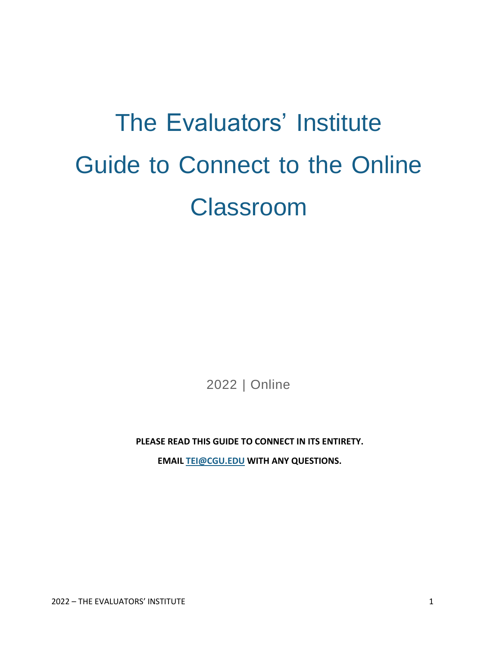# The Evaluators' Institute Guide to Connect to the Online Classroom

2022 | Online

**PLEASE READ THIS GUIDE TO CONNECT IN ITS ENTIRETY.**

**EMAIL [TEI@CGU.EDU](mailto:TEI@CGU.EDU) WITH ANY QUESTIONS.**

2022 – THE EVALUATORS' INSTITUTE 1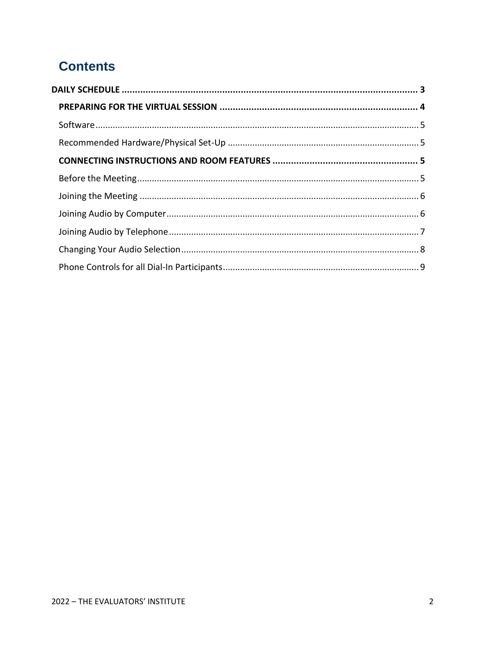# **Contents**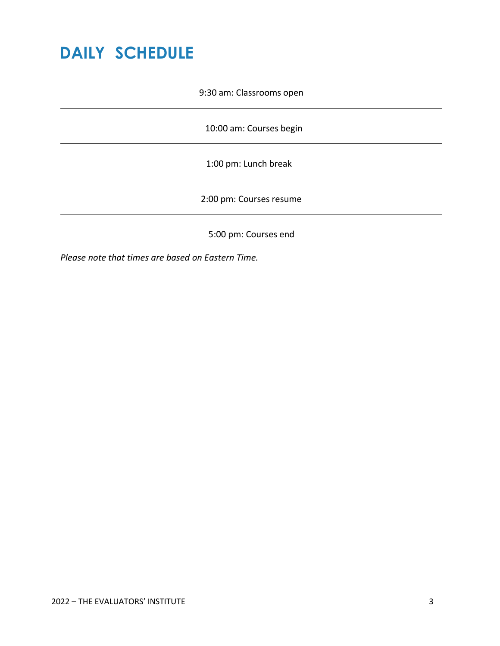# <span id="page-2-0"></span>**DAILY SCHEDULE**

9:30 am: Classrooms open

10:00 am: Courses begin

1:00 pm: Lunch break

2:00 pm: Courses resume

5:00 pm: Courses end

*Please note that times are based on [Eastern](https://tei.cgu.edu/events/september-2020-program/schedule-at-a-glance/) Time.*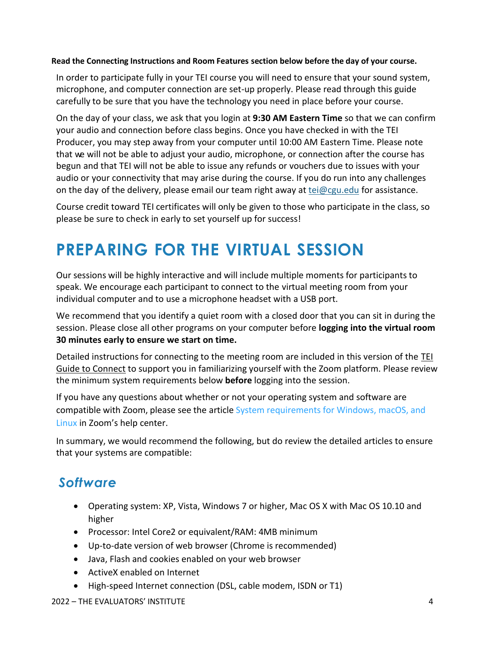#### **Read the Connecting Instructions and Room Features section below before the day of your course.**

<span id="page-3-0"></span>In order to participate fully in your TEI co[urse you will need to ensure that your sound system,](https://tei.cgu.edu/areasofstudy/evaluation-approaches-and-techniques/#evaluability-assessment) microphone, and computer connection are set-up properly. Please read through this guide carefully to be sure that you have the technology you need in place before your course.

On the day of your class, we ask that you login at **[9:30 AM Eastern Time](https://encompassworld.zoom.us/j/97187495809)** so that we can confirm your audio and connection before class begins. Once you have checked in with the TEI Producer, you may step away from your computer until 10:00 AM Eastern Time. Please note that we will not be able to adjust your audio, microphone, or connection after the course has begun and that TEI will not be able to issue any refunds or vouchers due to issues with your audio or your connectivity that may arise during the course. If you do run into any challenges on the day of the delivery, please email our team right away at [tei@cgu.edu](mailto:tei@cgu.edu) for assistance.

Course credit toward TEI certificates will only be given to those who participate in the class, so please be sure to check in early to set yourself up for success!

# **PREPARING FOR THE VIRTUAL SESSION**

Our sessions will be highly interactive and will include multiple moments for participants to speak. We encourage each participant to connect to the virtual meeting room from your individual computer and to use a microphone headset with a USB port.

We recommend that you identify a quiet room with [a closed door t](mailto:tei@cgu.edu)hat you can sit in during the session. Please close all other programs on your computer before **logging into the virtual room 30 minutes early to ensure we start on time.**

<span id="page-3-1"></span>Detailed instructions for connecting to the meeting room are included in this version of the TEI Guide to Connect to support you in familiarizing yourself with the Zoom platform. Please review the minimum system requirements below **before** logging into the session.

If you have any questions about whether or not your operating system and software are compatible with Zoom, please see the article System requirements for Windows, macOS, and Linux in Zoom's help center.

In summary, we would recommend the following, but do review the detailed articles to ensure that your systems are compatible:

### *Software*

- Operating system: XP, Vista, Windows 7 or higher, Mac OS X with Mac OS 10.10 and higher
- Processor: Intel Core2 or equivalent/RAM: 4MB minimum
- Up-to-date version of web browser (Chrome is recommended)
- Java, Flash and cookies enabled on your web browser
- ActiveX enabled on Internet
- <span id="page-3-2"></span>• High-speed Internet connection (DSL, cable modem, ISDN or T1)

#### 2022 – THE EVALUATORS' INSTITUTE 4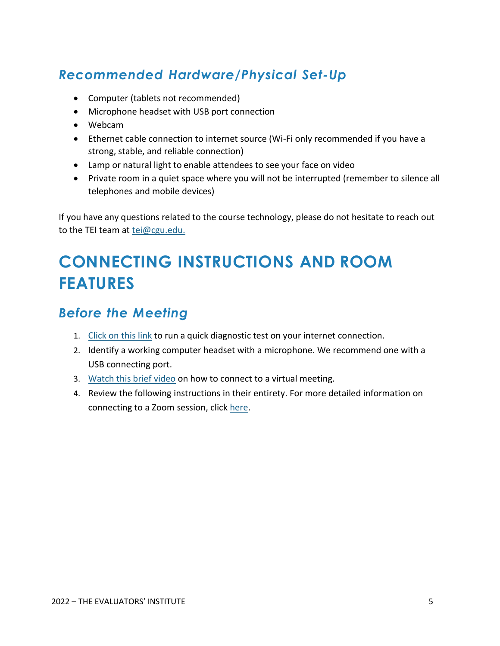# *Recommended Hardware/Physical Set-Up*

- Computer (tablets not recommended)
- Microphone headset with USB port connection
- Webcam
- Ethernet cable connection to internet source (Wi-Fi only recommended if you have a strong, stable, and reliable connection)
- Lamp or natural light to enable attendees to see your face on video
- Private room in a quiet space where you will not be interrupted (remember to silence all telephones and mobile devices)

If you have any questions related to the course technology, please do not hesitate to reach out to the TEI team at [tei@cgu.edu.](mailto:tei@cgu.edu)

# <span id="page-4-0"></span>**CONNECTING INSTRUCTIONS AND ROOM FEATURES**

### <span id="page-4-1"></span>*Before the Meeting*

- 1. [Click](https://zoom.us/test) on this link to run a quick diagnostic test on your internet connection.
- 2. Identify a working computer headset with a microphone. We recommend one with a USB connecting port.
- 3. Watch this [brief video](https://support.zoom.us/hc/en-us/articles/201362193-How-Do-I-Join-A-Meeting-) on how to connect to a virtual meeting.
- 4. Review the following instructions in their entirety. For more detailed information on connecting to a Zoom session, click [here.](https://support.zoom.us/hc/en-us/articles/201362193-How-Do-I-Join-A-Meeting-)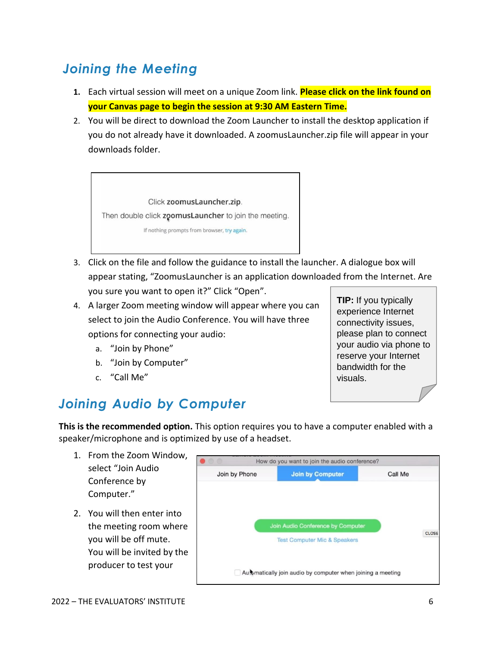# <span id="page-5-0"></span>*Joining the Meeting*

- **1.** Each virtual session will meet on a unique Zoom link. **Please click on the link found on your Canvas page to begin the session at 9:30 AM Eastern Time.**
- 2. You will be direct to download the Zoom Launcher to install the desktop application if you do not already have it downloaded. A zoomusLauncher.zip file will appear in your downloads folder.



- 3. Click on the file and follow the guidance to install the launcher. A dialogue box will appear stating, "ZoomusLauncher is an application downloaded from the Internet. Are you sure you want to open it?" Click "Open".
- 4. A larger Zoom meeting window will appear where you can select to join the Audio Conference. You will have three options for connecting your audio:
	- a. "Join by Phone"
	- b. "Join by Computer"
	- c. "Call Me"

# <span id="page-5-1"></span>*Joining Audio by Computer*

**This is the recommended option.** This option requires you to have a computer enabled with a speaker/microphone and is optimized by use of a headset.

- 1. From the Zoom Window, select "Join Audio Conference by Computer."
- 2. You will then enter into the meeting room where you will be off mute. You will be invited by the producer to test your



**TIP:** If you typically experience Internet connectivity issues, please plan to connect your audio via phone to reserve your Internet bandwidth for the visuals.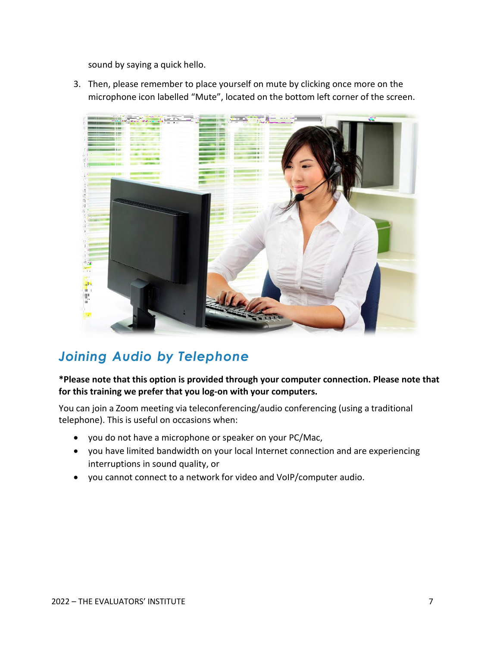sound by saying a quick hello.

3. Then, please remember to place yourself on mute by clicking once more on the microphone icon labelled "Mute", located on the bottom left corner of the screen.



### <span id="page-6-0"></span>*Joining Audio by Telephone*

#### **\*Please note that this option is provided through your computer connection. Please note that for this training we prefer that you log-on with your computers.**

You can join a Zoom meeting via teleconferencing/audio conferencing (using a traditional telephone). This is useful on occasions when:

- you do not have a microphone or speaker on your PC/Mac,
- you have limited bandwidth on your local Internet connection and are experiencing interruptions in sound quality, or
- you cannot connect to a network for video and VoIP/computer audio.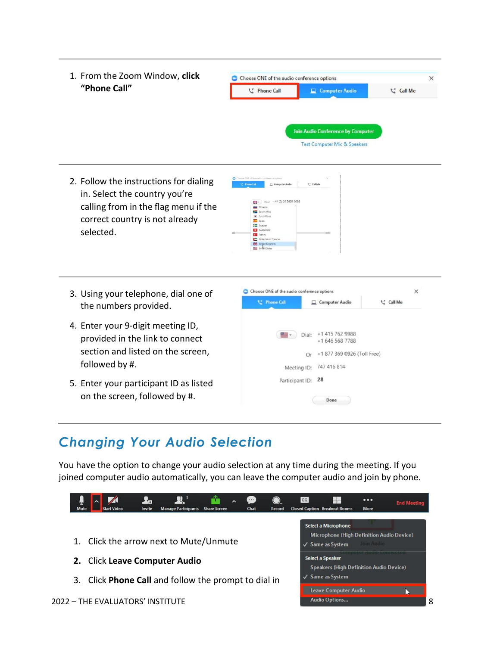1. From the Zoom Window, **click** Choose ONE of the audio conference options  $\times$ **"Phone Call"**  $\Box$  Computer Audio L' Phone Call **Call Me Join Audio Conference by Computer** Test Computer Mic & Speakers 2. Follow the instructions for dialing  $\Box$ in. Select the country you're  $942 -$  Dial:  $+44(0)203695008$ calling from in the flag menu if the Slovenia<br>Sauth Africa South Korea 300 South correct country is not already **Section** Sweden **E'S** Switzerland selected. C Turkey<br>United Arab See United Kingd<br>**Big** United States Choose ONE of the audio conference options  $\times$ 3. Using your telephone, dial one of **L'** Phone Call **C** Call Me Computer Audio the numbers provided. 4. Enter your 9-digit meeting ID,  $\boxed{44}$  v Dial: +1 415 762 9988 provided in the link to connect +1 646 568 7788 section and listed on the screen, Or +1 877 369 0926 (Toll Free) followed by #. Meeting ID: 747 416 814 Participant ID: 28 5. Enter your participant ID as listed on the screen, followed by #.  $\mathsf{Done}$ 

## <span id="page-7-0"></span>*Changing Your Audio Selection*

You have the option to change your audio selection at any time during the meeting. If you joined computer audio automatically, you can leave the computer audio and join by phone.